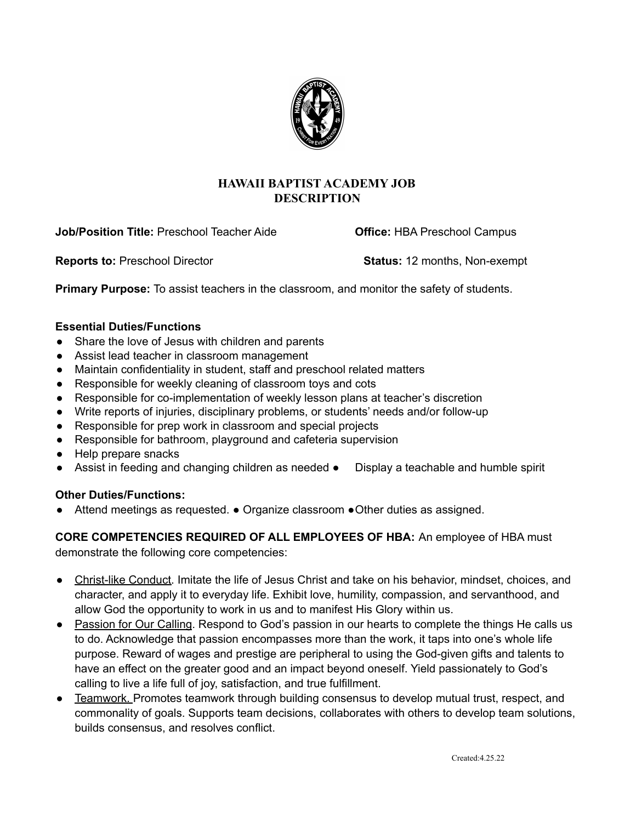

# **HAWAII BAPTIST ACADEMY JOB DESCRIPTION**

**Job/Position Title:** Preschool Teacher Aide **Office:** HBA Preschool Campus

**Reports to:** Preschool Director **Status:** 12 months, Non-exempt

**Primary Purpose:** To assist teachers in the classroom, and monitor the safety of students.

### **Essential Duties/Functions**

- Share the love of Jesus with children and parents
- Assist lead teacher in classroom management
- Maintain confidentiality in student, staff and preschool related matters
- Responsible for weekly cleaning of classroom toys and cots
- Responsible for co-implementation of weekly lesson plans at teacher's discretion
- Write reports of injuries, disciplinary problems, or students' needs and/or follow-up
- Responsible for prep work in classroom and special projects
- Responsible for bathroom, playground and cafeteria supervision
- Help prepare snacks
- Assist in feeding and changing children as needed Display a teachable and humble spirit

### **Other Duties/Functions:**

Attend meetings as requested.  $\bullet$  Organize classroom  $\bullet$ Other duties as assigned.

**CORE COMPETENCIES REQUIRED OF ALL EMPLOYEES OF HBA:** An employee of HBA must demonstrate the following core competencies:

- Christ-like Conduct. Imitate the life of Jesus Christ and take on his behavior, mindset, choices, and character, and apply it to everyday life. Exhibit love, humility, compassion, and servanthood, and allow God the opportunity to work in us and to manifest His Glory within us.
- Passion for Our Calling. Respond to God's passion in our hearts to complete the things He calls us to do. Acknowledge that passion encompasses more than the work, it taps into one's whole life purpose. Reward of wages and prestige are peripheral to using the God-given gifts and talents to have an effect on the greater good and an impact beyond oneself. Yield passionately to God's calling to live a life full of joy, satisfaction, and true fulfillment.
- Teamwork. Promotes teamwork through building consensus to develop mutual trust, respect, and commonality of goals. Supports team decisions, collaborates with others to develop team solutions, builds consensus, and resolves conflict.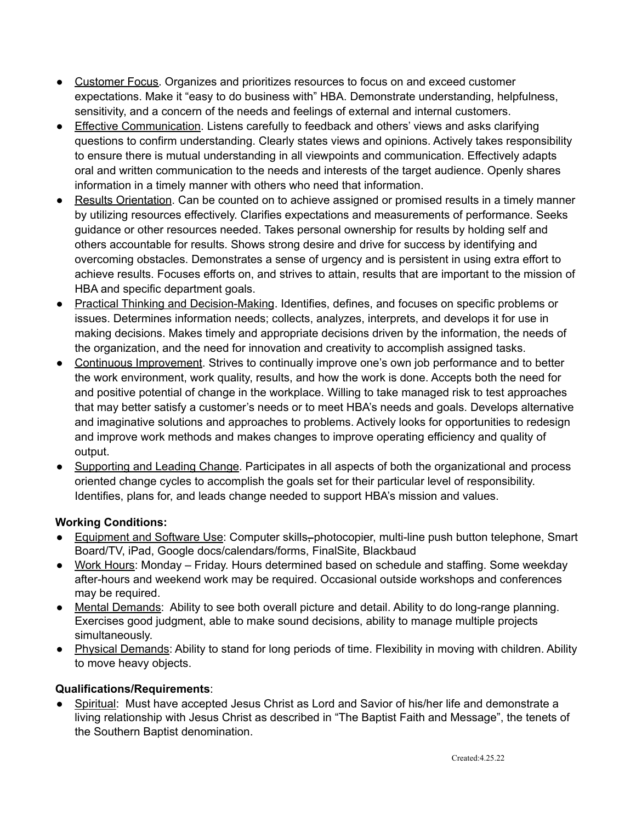- Customer Focus. Organizes and prioritizes resources to focus on and exceed customer expectations. Make it "easy to do business with" HBA. Demonstrate understanding, helpfulness, sensitivity, and a concern of the needs and feelings of external and internal customers.
- Effective Communication. Listens carefully to feedback and others' views and asks clarifying questions to confirm understanding. Clearly states views and opinions. Actively takes responsibility to ensure there is mutual understanding in all viewpoints and communication. Effectively adapts oral and written communication to the needs and interests of the target audience. Openly shares information in a timely manner with others who need that information.
- Results Orientation. Can be counted on to achieve assigned or promised results in a timely manner by utilizing resources effectively. Clarifies expectations and measurements of performance. Seeks guidance or other resources needed. Takes personal ownership for results by holding self and others accountable for results. Shows strong desire and drive for success by identifying and overcoming obstacles. Demonstrates a sense of urgency and is persistent in using extra effort to achieve results. Focuses efforts on, and strives to attain, results that are important to the mission of HBA and specific department goals.
- Practical Thinking and Decision-Making. Identifies, defines, and focuses on specific problems or issues. Determines information needs; collects, analyzes, interprets, and develops it for use in making decisions. Makes timely and appropriate decisions driven by the information, the needs of the organization, and the need for innovation and creativity to accomplish assigned tasks.
- Continuous Improvement. Strives to continually improve one's own job performance and to better the work environment, work quality, results, and how the work is done. Accepts both the need for and positive potential of change in the workplace. Willing to take managed risk to test approaches that may better satisfy a customer's needs or to meet HBA's needs and goals. Develops alternative and imaginative solutions and approaches to problems. Actively looks for opportunities to redesign and improve work methods and makes changes to improve operating efficiency and quality of output.
- Supporting and Leading Change. Participates in all aspects of both the organizational and process oriented change cycles to accomplish the goals set for their particular level of responsibility. Identifies, plans for, and leads change needed to support HBA's mission and values.

# **Working Conditions:**

- Equipment and Software Use: Computer skills–photocopier, multi-line push button telephone, Smart Board/TV, iPad, Google docs/calendars/forms, FinalSite, Blackbaud
- Work Hours: Monday Friday. Hours determined based on schedule and staffing. Some weekday after-hours and weekend work may be required. Occasional outside workshops and conferences may be required.
- Mental Demands: Ability to see both overall picture and detail. Ability to do long-range planning. Exercises good judgment, able to make sound decisions, ability to manage multiple projects simultaneously.
- Physical Demands: Ability to stand for long periods of time. Flexibility in moving with children. Ability to move heavy objects.

### **Qualifications/Requirements**:

Spiritual: Must have accepted Jesus Christ as Lord and Savior of his/her life and demonstrate a living relationship with Jesus Christ as described in "The Baptist Faith and Message", the tenets of the Southern Baptist denomination.